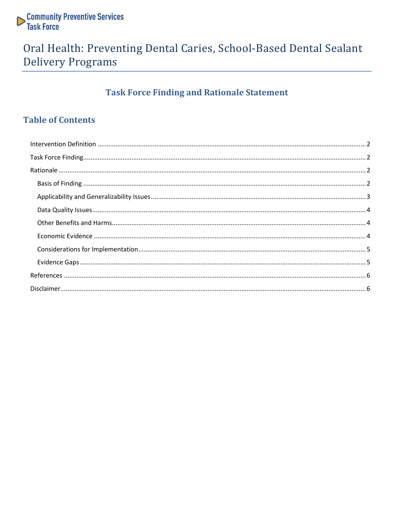

## Oral Health: Preventing Dental Caries, School-Based Dental Sealant **Delivery Programs**

### **Task Force Finding and Rationale Statement**

### **Table of Contents**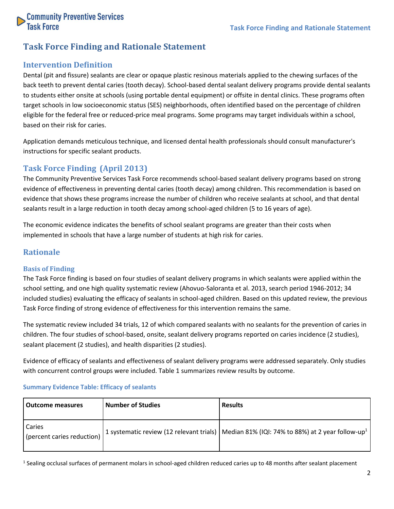

### **Task Force Finding and Rationale Statement**

#### <span id="page-1-0"></span>**Intervention Definition**

Dental (pit and fissure) sealants are clear or opaque plastic resinous materials applied to the chewing surfaces of the back teeth to prevent dental caries (tooth decay). School-based dental sealant delivery programs provide dental sealants to students either onsite at schools (using portable dental equipment) or offsite in dental clinics. These programs often target schools in low socioeconomic status (SES) neighborhoods, often identified based on the percentage of children eligible for the federal free or reduced-price meal programs. Some programs may target individuals within a school, based on their risk for caries.

Application demands meticulous technique, and licensed dental health professionals should consult manufacturer's instructions for specific sealant products.

#### <span id="page-1-1"></span>**Task Force Finding (April 2013)**

The Community Preventive Services Task Force recommends school-based sealant delivery programs based on strong evidence of effectiveness in preventing dental caries (tooth decay) among children. This recommendation is based on evidence that shows these programs increase the number of children who receive sealants at school, and that dental sealants result in a large reduction in tooth decay among school-aged children (5 to 16 years of age).

The economic evidence indicates the benefits of school sealant programs are greater than their costs when implemented in schools that have a large number of students at high risk for caries.

#### <span id="page-1-2"></span>**Rationale**

#### <span id="page-1-3"></span>**Basis of Finding**

The Task Force finding is based on four studies of sealant delivery programs in which sealants were applied within the school setting, and one high quality systematic review (Ahovuo-Saloranta et al. 2013, search period 1946-2012; 34 included studies) evaluating the efficacy of sealants in school-aged children. Based on this updated review, the previous Task Force finding of strong evidence of effectiveness for this intervention remains the same.

The systematic review included 34 trials, 12 of which compared sealants with no sealants for the prevention of caries in children. The four studies of school-based, onsite, sealant delivery programs reported on caries incidence (2 studies), sealant placement (2 studies), and health disparities (2 studies).

Evidence of efficacy of sealants and effectiveness of sealant delivery programs were addressed separately. Only studies with concurrent control groups were included. Table 1 summarizes review results by outcome.

| <b>Outcome measures</b>              | <b>Number of Studies</b> | <b>Results</b>                                                                                           |
|--------------------------------------|--------------------------|----------------------------------------------------------------------------------------------------------|
| Caries<br>(percent caries reduction) |                          | 1 systematic review (12 relevant trials)   Median 81% (IQI: 74% to 88%) at 2 year follow-up <sup>1</sup> |

#### **Summary Evidence Table: Efficacy of sealants**

<sup>1</sup> Sealing occlusal surfaces of permanent molars in school-aged children reduced caries up to 48 months after sealant placement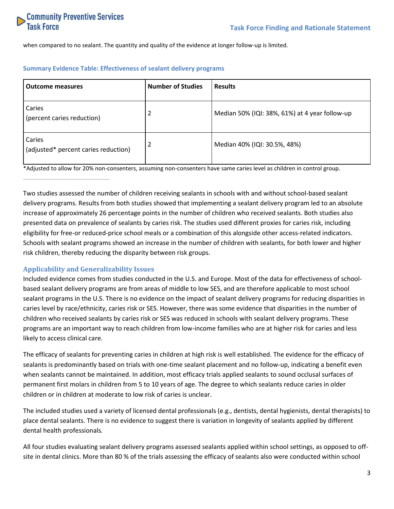

when compared to no sealant. The quantity and quality of the evidence at longer follow-up is limited.

| <b>Outcome measures</b>                        | <b>Number of Studies</b> | <b>Results</b>                                 |
|------------------------------------------------|--------------------------|------------------------------------------------|
| Caries<br>(percent caries reduction)           |                          | Median 50% (IQI: 38%, 61%) at 4 year follow-up |
| Caries<br>(adjusted* percent caries reduction) |                          | Median 40% (IQI: 30.5%, 48%)                   |

#### **Summary Evidence Table: Effectiveness of sealant delivery programs**

\*Adjusted to allow for 20% non-consenters, assuming non-consenters have same caries level as children in control group.

Two studies assessed the number of children receiving sealants in schools with and without school-based sealant delivery programs. Results from both studies showed that implementing a sealant delivery program led to an absolute increase of approximately 26 percentage points in the number of children who received sealants. Both studies also presented data on prevalence of sealants by caries risk. The studies used different proxies for caries risk, including eligibility for free-or reduced-price school meals or a combination of this alongside other access-related indicators. Schools with sealant programs showed an increase in the number of children with sealants, for both lower and higher risk children, thereby reducing the disparity between risk groups.

#### <span id="page-2-0"></span>**Applicability and Generalizability Issues**

Included evidence comes from studies conducted in the U.S. and Europe. Most of the data for effectiveness of schoolbased sealant delivery programs are from areas of middle to low SES, and are therefore applicable to most school sealant programs in the U.S. There is no evidence on the impact of sealant delivery programs for reducing disparities in caries level by race/ethnicity, caries risk or SES. However, there was some evidence that disparities in the number of children who received sealants by caries risk or SES was reduced in schools with sealant delivery programs. These programs are an important way to reach children from low-income families who are at higher risk for caries and less likely to access clinical care.

The efficacy of sealants for preventing caries in children at high risk is well established. The evidence for the efficacy of sealants is predominantly based on trials with one-time sealant placement and no follow-up, indicating a benefit even when sealants cannot be maintained. In addition, most efficacy trials applied sealants to sound occlusal surfaces of permanent first molars in children from 5 to 10 years of age. The degree to which sealants reduce caries in older children or in children at moderate to low risk of caries is unclear.

The included studies used a variety of licensed dental professionals (e.g., dentists, dental hygienists, dental therapists) to place dental sealants. There is no evidence to suggest there is variation in longevity of sealants applied by different dental health professionals.

All four studies evaluating sealant delivery programs assessed sealants applied within school settings, as opposed to offsite in dental clinics. More than 80 % of the trials assessing the efficacy of sealants also were conducted within school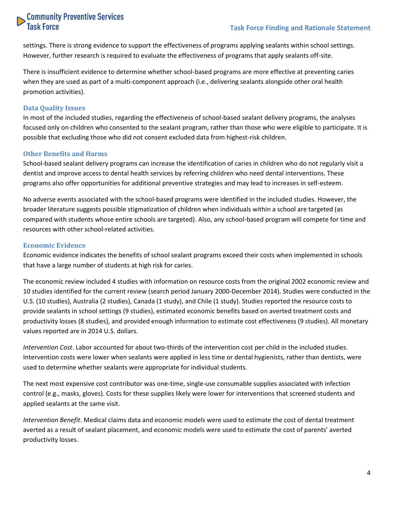# **Community Preventive Services**<br>Task Force

settings. There is strong evidence to support the effectiveness of programs applying sealants within school settings. However, further research is required to evaluate the effectiveness of programs that apply sealants off-site.

There is insufficient evidence to determine whether school-based programs are more effective at preventing caries when they are used as part of a multi-component approach (i.e., delivering sealants alongside other oral health promotion activities).

#### <span id="page-3-0"></span>**Data Quality Issues**

In most of the included studies, regarding the effectiveness of school-based sealant delivery programs, the analyses focused only on children who consented to the sealant program, rather than those who were eligible to participate. It is possible that excluding those who did not consent excluded data from highest-risk children.

#### <span id="page-3-1"></span>**Other Benefits and Harms**

School-based sealant delivery programs can increase the identification of caries in children who do not regularly visit a dentist and improve access to dental health services by referring children who need dental interventions. These programs also offer opportunities for additional preventive strategies and may lead to increases in self-esteem.

No adverse events associated with the school-based programs were identified in the included studies. However, the broader literature suggests possible stigmatization of children when individuals within a school are targeted (as compared with students whose entire schools are targeted). Also, any school-based program will compete for time and resources with other school-related activities.

#### <span id="page-3-2"></span>**Economic Evidence**

Economic evidence indicates the benefits of school sealant programs exceed their costs when implemented in schools that have a large number of students at high risk for caries.

The economic review included 4 studies with information on resource costs from the original 2002 economic review and 10 studies identified for the current review (search period January 2000-December 2014). Studies were conducted in the U.S. (10 studies), Australia (2 studies), Canada (1 study), and Chile (1 study). Studies reported the resource costs to provide sealants in school settings (9 studies), estimated economic benefits based on averted treatment costs and productivity losses (8 studies), and provided enough information to estimate cost effectiveness (9 studies). All monetary values reported are in 2014 U.S. dollars.

*Intervention Cost*. Labor accounted for about two-thirds of the intervention cost per child in the included studies. Intervention costs were lower when sealants were applied in less time or dental hygienists, rather than dentists, were used to determine whether sealants were appropriate for individual students.

The next most expensive cost contributor was one-time, single-use consumable supplies associated with infection control (e.g., masks, gloves). Costs for these supplies likely were lower for interventions that screened students and applied sealants at the same visit.

*Intervention Benefit*. Medical claims data and economic models were used to estimate the cost of dental treatment averted as a result of sealant placement, and economic models were used to estimate the cost of parents' averted productivity losses.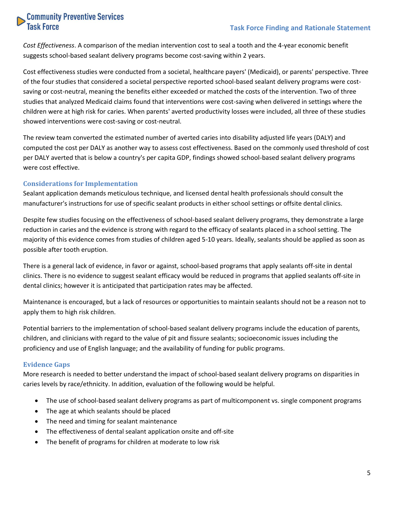# **Community Preventive Services**<br>Task Force

*Cost Effectiveness*. A comparison of the median intervention cost to seal a tooth and the 4-year economic benefit suggests school-based sealant delivery programs become cost-saving within 2 years.

Cost effectiveness studies were conducted from a societal, healthcare payers' (Medicaid), or parents' perspective. Three of the four studies that considered a societal perspective reported school-based sealant delivery programs were costsaving or cost-neutral, meaning the benefits either exceeded or matched the costs of the intervention. Two of three studies that analyzed Medicaid claims found that interventions were cost-saving when delivered in settings where the children were at high risk for caries. When parents' averted productivity losses were included, all three of these studies showed interventions were cost-saving or cost-neutral.

The review team converted the estimated number of averted caries into disability adjusted life years (DALY) and computed the cost per DALY as another way to assess cost effectiveness. Based on the commonly used threshold of cost per DALY averted that is below a country's per capita GDP, findings showed school-based sealant delivery programs were cost effective.

#### <span id="page-4-0"></span>**Considerations for Implementation**

Sealant application demands meticulous technique, and licensed dental health professionals should consult the manufacturer's instructions for use of specific sealant products in either school settings or offsite dental clinics.

Despite few studies focusing on the effectiveness of school-based sealant delivery programs, they demonstrate a large reduction in caries and the evidence is strong with regard to the efficacy of sealants placed in a school setting. The majority of this evidence comes from studies of children aged 5-10 years. Ideally, sealants should be applied as soon as possible after tooth eruption.

There is a general lack of evidence, in favor or against, school-based programs that apply sealants off-site in dental clinics. There is no evidence to suggest sealant efficacy would be reduced in programs that applied sealants off-site in dental clinics; however it is anticipated that participation rates may be affected.

Maintenance is encouraged, but a lack of resources or opportunities to maintain sealants should not be a reason not to apply them to high risk children.

Potential barriers to the implementation of school-based sealant delivery programs include the education of parents, children, and clinicians with regard to the value of pit and fissure sealants; socioeconomic issues including the proficiency and use of English language; and the availability of funding for public programs.

#### <span id="page-4-1"></span>**Evidence Gaps**

More research is needed to better understand the impact of school-based sealant delivery programs on disparities in caries levels by race/ethnicity. In addition, evaluation of the following would be helpful.

- The use of school-based sealant delivery programs as part of multicomponent vs. single component programs
- The age at which sealants should be placed
- The need and timing for sealant maintenance
- The effectiveness of dental sealant application onsite and off-site
- The benefit of programs for children at moderate to low risk